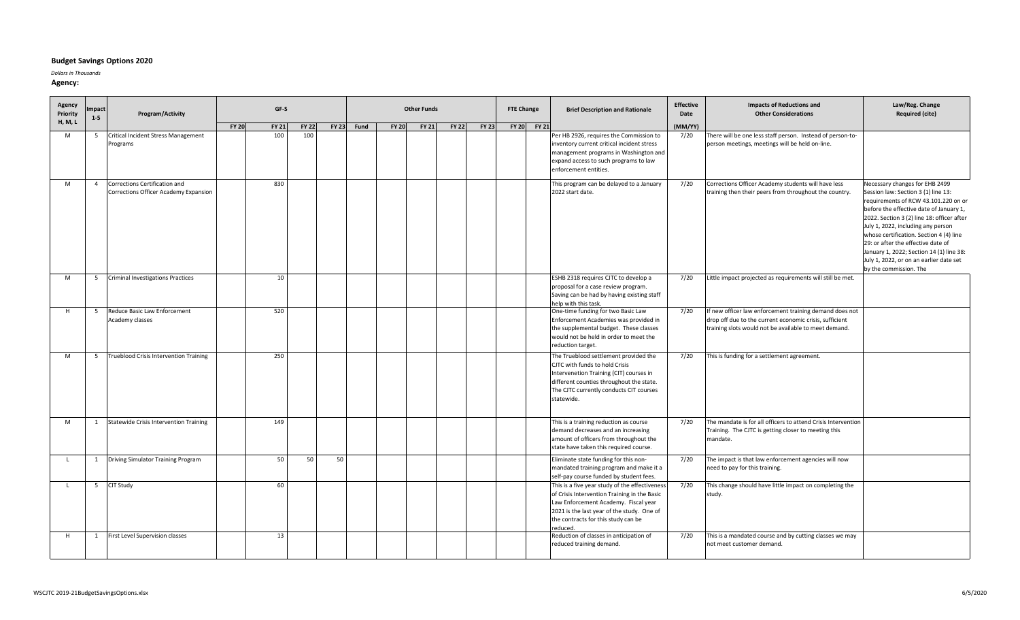## **Budget Savings Options 2020**

*Dollars in Thousands*

**Agency:**

| Agency<br>Priority | mpact<br>Program/Activity |                                                                        |              | GF-S         |              |              |      | <b>Other Funds</b> |              |              | <b>FTE Change</b> |  | <b>Brief Description and Rationale</b> | <b>Effective</b><br>Date                                                                                                                                                                                                                | <b>Impacts of Reductions and</b><br><b>Other Considerations</b> | Law/Reg. Change<br><b>Required (cite)</b>                                                                                                                                   |                                                                                                                                                                                                                                                                                                                                                                                                                                                |
|--------------------|---------------------------|------------------------------------------------------------------------|--------------|--------------|--------------|--------------|------|--------------------|--------------|--------------|-------------------|--|----------------------------------------|-----------------------------------------------------------------------------------------------------------------------------------------------------------------------------------------------------------------------------------------|-----------------------------------------------------------------|-----------------------------------------------------------------------------------------------------------------------------------------------------------------------------|------------------------------------------------------------------------------------------------------------------------------------------------------------------------------------------------------------------------------------------------------------------------------------------------------------------------------------------------------------------------------------------------------------------------------------------------|
| <b>H, M, L</b>     | $1 - 5$                   |                                                                        | <b>FY 20</b> | <b>FY 21</b> | <b>FY 22</b> | <b>FY 23</b> | Fund | <b>FY 20</b>       | <b>FY 21</b> | <b>FY 22</b> | <b>FY 23</b>      |  | FY 20 FY 21                            |                                                                                                                                                                                                                                         | (MM/YY)                                                         |                                                                                                                                                                             |                                                                                                                                                                                                                                                                                                                                                                                                                                                |
| M                  | 5                         | <b>Critical Incident Stress Management</b><br>Programs                 |              | 100          | 100          |              |      |                    |              |              |                   |  |                                        | Per HB 2926, requires the Commission to<br>inventory current critical incident stress<br>management programs in Washington and<br>expand access to such programs to law<br>enforcement entities.                                        | 7/20                                                            | There will be one less staff person. Instead of person-to-<br>person meetings, meetings will be held on-line.                                                               |                                                                                                                                                                                                                                                                                                                                                                                                                                                |
| M                  | $\overline{4}$            | Corrections Certification and<br>Corrections Officer Academy Expansion |              | 830          |              |              |      |                    |              |              |                   |  |                                        | This program can be delayed to a January<br>2022 start date.                                                                                                                                                                            | 7/20                                                            | Corrections Officer Academy students will have less<br>training then their peers from throughout the country.                                                               | Necessary changes for EHB 2499<br>Session law: Section 3 (1) line 13:<br>requirements of RCW 43.101.220 on or<br>before the effective date of January 1,<br>2022. Section 3 (2) line 18: officer after<br>July 1, 2022, including any person<br>whose certification. Section 4 (4) line<br>29: or after the effective date of<br>January 1, 2022; Section 14 (1) line 38:<br>July 1, 2022, or on an earlier date set<br>by the commission. The |
| M                  | -5                        | <b>Criminal Investigations Practices</b>                               |              | 10           |              |              |      |                    |              |              |                   |  |                                        | ESHB 2318 requires CJTC to develop a<br>proposal for a case review program.<br>Saving can be had by having existing staff<br>help with this task.                                                                                       | 7/20                                                            | Little impact projected as requirements will still be met.                                                                                                                  |                                                                                                                                                                                                                                                                                                                                                                                                                                                |
| H                  |                           | 5 Reduce Basic Law Enforcement<br>Academy classes                      |              | 520          |              |              |      |                    |              |              |                   |  |                                        | One-time funding for two Basic Law<br>Enforcement Academies was provided in<br>the supplemental budget. These classes<br>would not be held in order to meet the<br>reduction target.                                                    | 7/20                                                            | If new officer law enforcement training demand does not<br>drop off due to the current economic crisis, sufficient<br>training slots would not be available to meet demand. |                                                                                                                                                                                                                                                                                                                                                                                                                                                |
| M                  | -5                        | <b>Trueblood Crisis Intervention Training</b>                          |              | 250          |              |              |      |                    |              |              |                   |  |                                        | The Trueblood settlement provided the<br>CJTC with funds to hold Crisis<br>Intervenetion Training (CIT) courses in<br>different counties throughout the state.<br>The CJTC currently conducts CIT courses<br>statewide.                 | 7/20                                                            | This is funding for a settlement agreement.                                                                                                                                 |                                                                                                                                                                                                                                                                                                                                                                                                                                                |
| M                  |                           | 1 Statewide Crisis Intervention Training                               |              | 149          |              |              |      |                    |              |              |                   |  |                                        | This is a training reduction as course<br>demand decreases and an increasing<br>amount of officers from throughout the<br>state have taken this required course.                                                                        | 7/20                                                            | The mandate is for all officers to attend Crisis Intervention<br>Training. The CJTC is getting closer to meeting this<br>mandate.                                           |                                                                                                                                                                                                                                                                                                                                                                                                                                                |
| <b>L</b>           |                           | 1 Driving Simulator Training Program                                   |              | 50           | 50           | 50           |      |                    |              |              |                   |  |                                        | Eliminate state funding for this non-<br>mandated training program and make it a<br>self-pay course funded by student fees.                                                                                                             | 7/20                                                            | The impact is that law enforcement agencies will now<br>need to pay for this training.                                                                                      |                                                                                                                                                                                                                                                                                                                                                                                                                                                |
|                    | 5                         | CIT Study                                                              |              | 60           |              |              |      |                    |              |              |                   |  |                                        | This is a five year study of the effectiveness<br>of Crisis Intervention Training in the Basic<br>Law Enforcement Academy. Fiscal year<br>2021 is the last year of the study. One of<br>the contracts for this study can be<br>reduced. | 7/20                                                            | This change should have little impact on completing the<br>study.                                                                                                           |                                                                                                                                                                                                                                                                                                                                                                                                                                                |
|                    | 1                         | First Level Supervision classes                                        |              | 13           |              |              |      |                    |              |              |                   |  |                                        | Reduction of classes in anticipation of<br>reduced training demand.                                                                                                                                                                     | 7/20                                                            | This is a mandated course and by cutting classes we may<br>not meet customer demand.                                                                                        |                                                                                                                                                                                                                                                                                                                                                                                                                                                |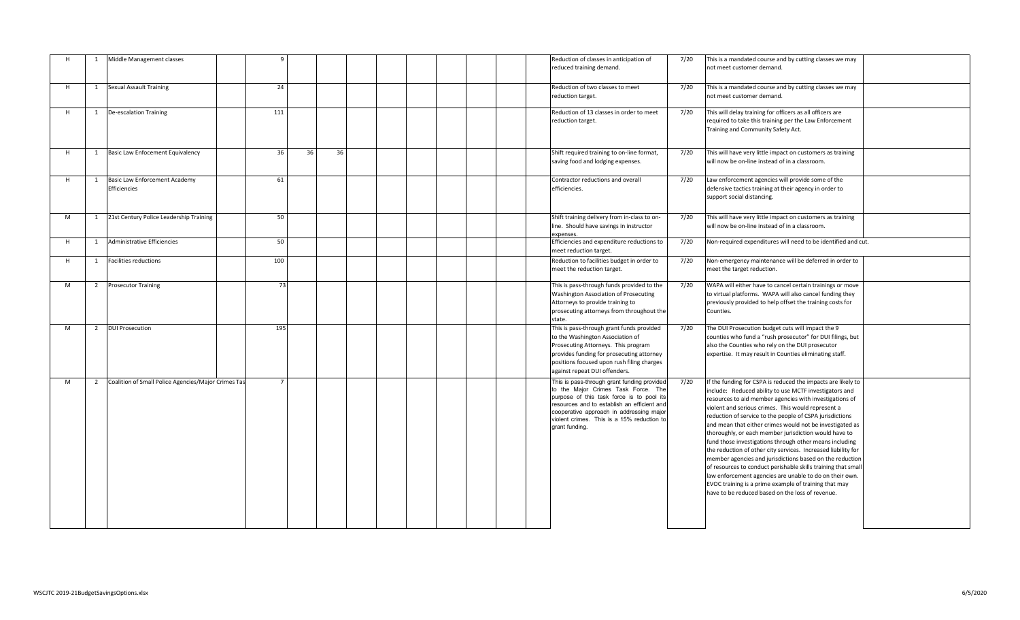| H |                | Middle Management classes                             |                |    |    |  |  |  | Reduction of classes in anticipation of<br>reduced training demand.                                                                                                                                                                                                                        | 7/20 | This is a mandated course and by cutting classes we may<br>not meet customer demand.                                                                                                                                                                                                                                                                                                                                                                                                                                                                                                                                                                                                                                                                                                                                                                      |
|---|----------------|-------------------------------------------------------|----------------|----|----|--|--|--|--------------------------------------------------------------------------------------------------------------------------------------------------------------------------------------------------------------------------------------------------------------------------------------------|------|-----------------------------------------------------------------------------------------------------------------------------------------------------------------------------------------------------------------------------------------------------------------------------------------------------------------------------------------------------------------------------------------------------------------------------------------------------------------------------------------------------------------------------------------------------------------------------------------------------------------------------------------------------------------------------------------------------------------------------------------------------------------------------------------------------------------------------------------------------------|
| H | 1              | <b>Sexual Assault Training</b>                        | 24             |    |    |  |  |  | Reduction of two classes to meet<br>reduction target.                                                                                                                                                                                                                                      | 7/20 | This is a mandated course and by cutting classes we may<br>not meet customer demand.                                                                                                                                                                                                                                                                                                                                                                                                                                                                                                                                                                                                                                                                                                                                                                      |
| H | 1              | De-escalation Training                                | 111            |    |    |  |  |  | Reduction of 13 classes in order to meet<br>reduction target.                                                                                                                                                                                                                              | 7/20 | This will delay training for officers as all officers are<br>required to take this training per the Law Enforcement<br>Training and Community Safety Act.                                                                                                                                                                                                                                                                                                                                                                                                                                                                                                                                                                                                                                                                                                 |
| H |                | 1 Basic Law Enfocement Equivalency                    | 36             | 36 | 36 |  |  |  | Shift required training to on-line format,<br>saving food and lodging expenses.                                                                                                                                                                                                            | 7/20 | This will have very little impact on customers as training<br>will now be on-line instead of in a classroom.                                                                                                                                                                                                                                                                                                                                                                                                                                                                                                                                                                                                                                                                                                                                              |
| H | 1              | <b>Basic Law Enforcement Academy</b><br>Efficiencies  | 61             |    |    |  |  |  | Contractor reductions and overall<br>efficiencies.                                                                                                                                                                                                                                         | 7/20 | Law enforcement agencies will provide some of the<br>defensive tactics training at their agency in order to<br>support social distancing.                                                                                                                                                                                                                                                                                                                                                                                                                                                                                                                                                                                                                                                                                                                 |
| M |                | 1 21st Century Police Leadership Training             | 50             |    |    |  |  |  | Shift training delivery from in-class to on-<br>line. Should have savings in instructor<br>expenses.                                                                                                                                                                                       | 7/20 | This will have very little impact on customers as training<br>will now be on-line instead of in a classroom.                                                                                                                                                                                                                                                                                                                                                                                                                                                                                                                                                                                                                                                                                                                                              |
| H | 1              | Administrative Efficiencies                           | 50             |    |    |  |  |  | Efficiencies and expenditure reductions to<br>meet reduction target.                                                                                                                                                                                                                       | 7/20 | Non-required expenditures will need to be identified and cut.                                                                                                                                                                                                                                                                                                                                                                                                                                                                                                                                                                                                                                                                                                                                                                                             |
| H | 1              | <b>Facilities reductions</b>                          | 100            |    |    |  |  |  | Reduction to facilities budget in order to<br>meet the reduction target.                                                                                                                                                                                                                   | 7/20 | Non-emergency maintenance will be deferred in order to<br>meet the target reduction.                                                                                                                                                                                                                                                                                                                                                                                                                                                                                                                                                                                                                                                                                                                                                                      |
| M |                | 2 Prosecutor Training                                 | 73             |    |    |  |  |  | This is pass-through funds provided to the<br>Washington Association of Prosecuting<br>Attorneys to provide training to<br>prosecuting attorneys from throughout the<br>state.                                                                                                             | 7/20 | WAPA will either have to cancel certain trainings or move<br>to virtual platforms. WAPA will also cancel funding they<br>previously provided to help offset the training costs for<br>Counties.                                                                                                                                                                                                                                                                                                                                                                                                                                                                                                                                                                                                                                                           |
| M | $\overline{2}$ | <b>DUI Prosecution</b>                                | 195            |    |    |  |  |  | This is pass-through grant funds provided<br>to the Washington Association of<br>Prosecuting Attorneys. This program<br>provides funding for prosecuting attorney<br>positions focused upon rush filing charges<br>against repeat DUI offenders.                                           | 7/20 | The DUI Prosecution budget cuts will impact the 9<br>counties who fund a "rush prosecutor" for DUI filings, but<br>also the Counties who rely on the DUI prosecutor<br>expertise. It may result in Counties eliminating staff.                                                                                                                                                                                                                                                                                                                                                                                                                                                                                                                                                                                                                            |
| M |                | 2 Coalition of Small Police Agencies/Major Crimes Tas | $\overline{7}$ |    |    |  |  |  | This is pass-through grant funding provided<br>to the Major Crimes Task Force. The<br>purpose of this task force is to pool its<br>resources and to establish an efficient and<br>cooperative approach in addressing major<br>violent crimes. This is a 15% reduction to<br>grant funding. | 7/20 | If the funding for CSPA is reduced the impacts are likely to<br>include: Reduced ability to use MCTF investigators and<br>resources to aid member agencies with investigations of<br>violent and serious crimes. This would represent a<br>reduction of service to the people of CSPA jurisdictions<br>and mean that either crimes would not be investigated as<br>thoroughly, or each member jurisdiction would have to<br>fund those investigations through other means including<br>the reduction of other city services. Increased liability for<br>member agencies and jurisdictions based on the reduction<br>of resources to conduct perishable skills training that small<br>law enforcement agencies are unable to do on their own.<br>EVOC training is a prime example of training that may<br>have to be reduced based on the loss of revenue. |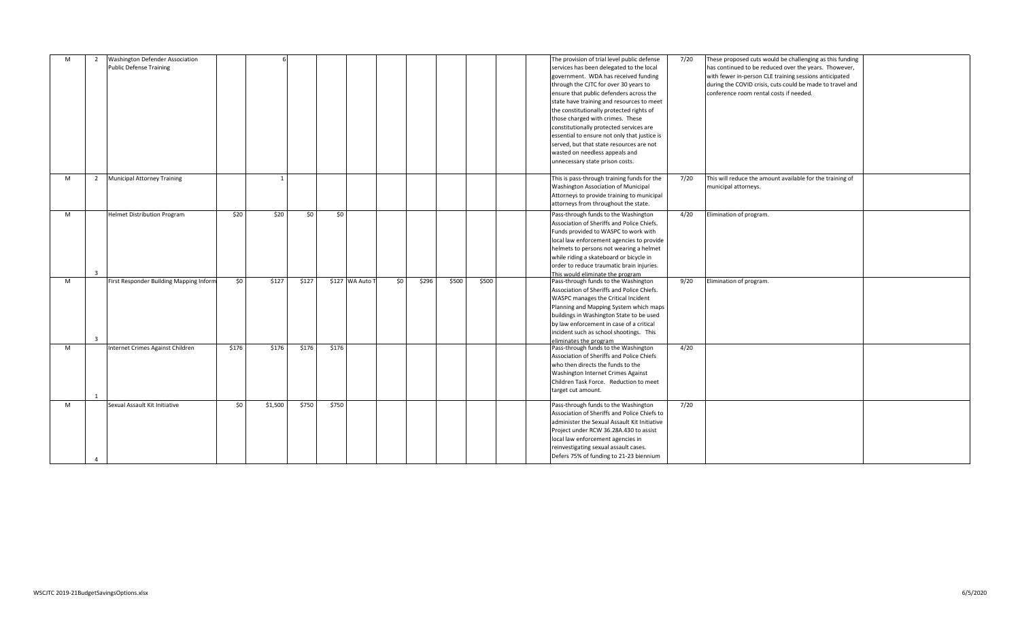| M | $\overline{2}$ | Washington Defender Association         |       |                |                 |       |                 |     |       |       |       |  | The provision of trial level public defense  | 7/20 | These proposed cuts would be challenging as this funding  |  |
|---|----------------|-----------------------------------------|-------|----------------|-----------------|-------|-----------------|-----|-------|-------|-------|--|----------------------------------------------|------|-----------------------------------------------------------|--|
|   |                | <b>Public Defense Training</b>          |       |                |                 |       |                 |     |       |       |       |  | services has been delegated to the local     |      | has continued to be reduced over the years. Thowever,     |  |
|   |                |                                         |       |                |                 |       |                 |     |       |       |       |  | government. WDA has received funding         |      | with fewer in-person CLE training sessions anticipated    |  |
|   |                |                                         |       |                |                 |       |                 |     |       |       |       |  | through the CJTC for over 30 years to        |      | during the COVID crisis, cuts could be made to travel and |  |
|   |                |                                         |       |                |                 |       |                 |     |       |       |       |  | ensure that public defenders across the      |      | conference room rental costs if needed.                   |  |
|   |                |                                         |       |                |                 |       |                 |     |       |       |       |  |                                              |      |                                                           |  |
|   |                |                                         |       |                |                 |       |                 |     |       |       |       |  | state have training and resources to meet    |      |                                                           |  |
|   |                |                                         |       |                |                 |       |                 |     |       |       |       |  | the constitutionally protected rights of     |      |                                                           |  |
|   |                |                                         |       |                |                 |       |                 |     |       |       |       |  | those charged with crimes. These             |      |                                                           |  |
|   |                |                                         |       |                |                 |       |                 |     |       |       |       |  | constitutionally protected services are      |      |                                                           |  |
|   |                |                                         |       |                |                 |       |                 |     |       |       |       |  | essential to ensure not only that justice is |      |                                                           |  |
|   |                |                                         |       |                |                 |       |                 |     |       |       |       |  | served, but that state resources are not     |      |                                                           |  |
|   |                |                                         |       |                |                 |       |                 |     |       |       |       |  | wasted on needless appeals and               |      |                                                           |  |
|   |                |                                         |       |                |                 |       |                 |     |       |       |       |  | unnecessary state prison costs.              |      |                                                           |  |
|   |                |                                         |       |                |                 |       |                 |     |       |       |       |  |                                              |      |                                                           |  |
| M |                | 2 Municipal Attorney Training           |       | $\overline{1}$ |                 |       |                 |     |       |       |       |  | This is pass-through training funds for the  | 7/20 | This will reduce the amount available for the training of |  |
|   |                |                                         |       |                |                 |       |                 |     |       |       |       |  | Washington Association of Municipal          |      | municipal attorneys.                                      |  |
|   |                |                                         |       |                |                 |       |                 |     |       |       |       |  | Attorneys to provide training to municipal   |      |                                                           |  |
|   |                |                                         |       |                |                 |       |                 |     |       |       |       |  | attorneys from throughout the state.         |      |                                                           |  |
|   |                |                                         |       |                |                 |       |                 |     |       |       |       |  |                                              |      |                                                           |  |
| M |                | <b>Helmet Distribution Program</b>      | \$20  | \$20           | 50 <sub>1</sub> | \$0   |                 |     |       |       |       |  | Pass-through funds to the Washington         | 4/20 | Elimination of program.                                   |  |
|   |                |                                         |       |                |                 |       |                 |     |       |       |       |  | Association of Sheriffs and Police Chiefs.   |      |                                                           |  |
|   |                |                                         |       |                |                 |       |                 |     |       |       |       |  | Funds provided to WASPC to work with         |      |                                                           |  |
|   |                |                                         |       |                |                 |       |                 |     |       |       |       |  | local law enforcement agencies to provide    |      |                                                           |  |
|   |                |                                         |       |                |                 |       |                 |     |       |       |       |  | helmets to persons not wearing a helmet      |      |                                                           |  |
|   |                |                                         |       |                |                 |       |                 |     |       |       |       |  | while riding a skateboard or bicycle in      |      |                                                           |  |
|   |                |                                         |       |                |                 |       |                 |     |       |       |       |  | order to reduce traumatic brain injuries.    |      |                                                           |  |
|   |                |                                         |       |                |                 |       |                 |     |       |       |       |  | This would eliminate the program             |      |                                                           |  |
| M |                | First Responder Building Mapping Inform | \$0   | \$127          | \$127           |       | \$127 WA Auto T | \$0 | \$296 | \$500 | \$500 |  | Pass-through funds to the Washington         | 9/20 | Elimination of program.                                   |  |
|   |                |                                         |       |                |                 |       |                 |     |       |       |       |  | Association of Sheriffs and Police Chiefs.   |      |                                                           |  |
|   |                |                                         |       |                |                 |       |                 |     |       |       |       |  | WASPC manages the Critical Incident          |      |                                                           |  |
|   |                |                                         |       |                |                 |       |                 |     |       |       |       |  | Planning and Mapping System which maps       |      |                                                           |  |
|   |                |                                         |       |                |                 |       |                 |     |       |       |       |  | buildings in Washington State to be used     |      |                                                           |  |
|   |                |                                         |       |                |                 |       |                 |     |       |       |       |  | by law enforcement in case of a critical     |      |                                                           |  |
|   |                |                                         |       |                |                 |       |                 |     |       |       |       |  | incident such as school shootings. This      |      |                                                           |  |
|   |                |                                         |       |                |                 |       |                 |     |       |       |       |  | eliminates the program                       |      |                                                           |  |
| M |                | Internet Crimes Against Children        | \$176 | \$176          | \$176           | \$176 |                 |     |       |       |       |  | Pass-through funds to the Washington         | 4/20 |                                                           |  |
|   |                |                                         |       |                |                 |       |                 |     |       |       |       |  | Association of Sheriffs and Police Chiefs    |      |                                                           |  |
|   |                |                                         |       |                |                 |       |                 |     |       |       |       |  | who then directs the funds to the            |      |                                                           |  |
|   |                |                                         |       |                |                 |       |                 |     |       |       |       |  | Washington Internet Crimes Against           |      |                                                           |  |
|   |                |                                         |       |                |                 |       |                 |     |       |       |       |  |                                              |      |                                                           |  |
|   |                |                                         |       |                |                 |       |                 |     |       |       |       |  | Children Task Force. Reduction to meet       |      |                                                           |  |
|   |                |                                         |       |                |                 |       |                 |     |       |       |       |  | target cut amount.                           |      |                                                           |  |
| M |                | Sexual Assault Kit Initiative           | \$0   | \$1,500        | \$750           | \$750 |                 |     |       |       |       |  | Pass-through funds to the Washington         | 7/20 |                                                           |  |
|   |                |                                         |       |                |                 |       |                 |     |       |       |       |  | Association of Sheriffs and Police Chiefs to |      |                                                           |  |
|   |                |                                         |       |                |                 |       |                 |     |       |       |       |  | administer the Sexual Assault Kit Initiative |      |                                                           |  |
|   |                |                                         |       |                |                 |       |                 |     |       |       |       |  |                                              |      |                                                           |  |
|   |                |                                         |       |                |                 |       |                 |     |       |       |       |  | Project under RCW 36.28A.430 to assist       |      |                                                           |  |
|   |                |                                         |       |                |                 |       |                 |     |       |       |       |  | local law enforcement agencies in            |      |                                                           |  |
|   |                |                                         |       |                |                 |       |                 |     |       |       |       |  | reinvestigating sexual assault cases.        |      |                                                           |  |
|   |                |                                         |       |                |                 |       |                 |     |       |       |       |  | Defers 75% of funding to 21-23 biennium      |      |                                                           |  |